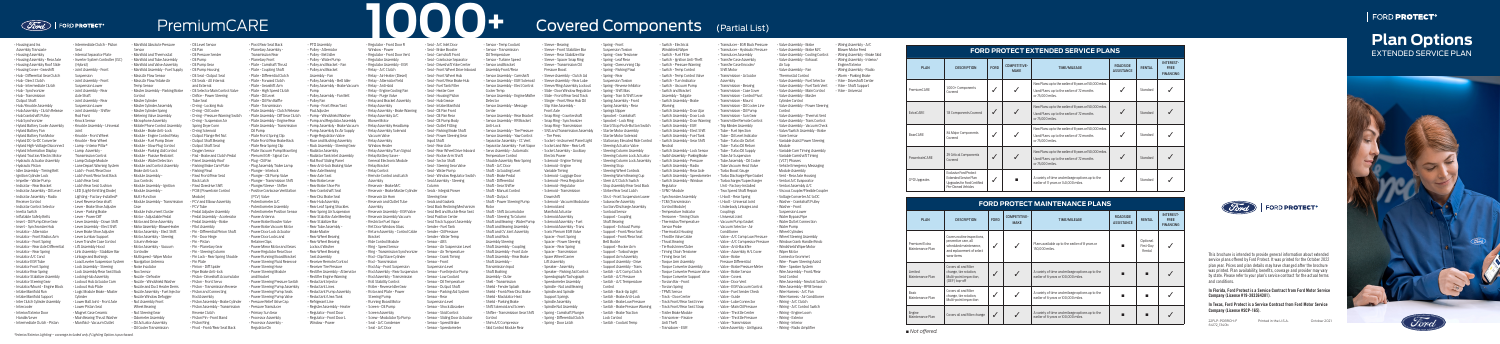| <b>FORD PROTECT EXTENDED SERVICE PLANS</b> |                                                                                              |                                                                          |  |                                                                                                                             |               |                                                     |  |
|--------------------------------------------|----------------------------------------------------------------------------------------------|--------------------------------------------------------------------------|--|-----------------------------------------------------------------------------------------------------------------------------|---------------|-----------------------------------------------------|--|
| <b>PLAN</b>                                | <b>DESCRIPTION</b>                                                                           | <b>COMPETITIVE-</b><br><b>FORD</b><br><b>TIME/MILEAGE</b><br><b>MAKE</b> |  | <b>ROADSIDE</b><br><b>ASSISTANCE</b>                                                                                        | <b>RENTAL</b> | <b>INTEREST-</b><br><b>FREE</b><br><b>FINANCING</b> |  |
| PremiumCARE                                | 1,000+ Components<br>Covered                                                                 | $\checkmark$                                                             |  | New Plans: up to the earlier of 8 years or 150,000 miles.<br>Used Plans: up to the earlier of 72 months<br>or 75,000 miles. |               | Standard                                            |  |
| <b>ExtraCARE</b>                           | 113 Components Covered                                                                       | ✓                                                                        |  | New Plans: up to the earlier of 8 years or 150,000 miles.<br>Used Plans: up to the earlier of 72 months<br>or 75,000 miles. |               | Standard                                            |  |
| <b>BaseCARE</b>                            | 84 Major Components<br>Covered                                                               | $\checkmark$                                                             |  | New Plans: up to the earlier of 8 years or 150,000 miles.<br>Used Plans: up to the earlier of 72 months<br>or 75,000 miles. |               | Standard                                            |  |
| PowertrainCARE                             | 29 Critical Components<br>Covered                                                            | $\checkmark$                                                             |  | New Plans: up to the earlier of 8 years or 150,000 miles.<br>Used Plans: up to the earlier of 72 months<br>or 75,000 miles. |               | Standard                                            |  |
| <b>CPO Upgrades</b>                        | <b>Exclusive Ford Protect</b><br><b>Extended Service Plan</b><br>Upgrades for Ford Certified |                                                                          |  | A variety of time and mileage options up to the<br>earlier of 11 years or 140,000 miles.                                    |               | Standard                                            |  |

Limited Maintenance P Pre-Owned Vehicles

## **FORD PROTECT MAINTENANCE PLANS**

| <b>PLAN</b>                       | <b>DESCRIPTION</b>                                                                                                       | <b>FORD</b> | <b>COMPETITIVE-</b><br><b>MAKE</b> | <b>TIME/MILEAGE</b>                                                                     | <b>ROADSIDE</b><br><b>ASSISTANCE</b> | <b>RENTAL</b>                   | <b>INTEREST-</b><br><b>FREE</b><br><b>FINANCING</b> |
|-----------------------------------|--------------------------------------------------------------------------------------------------------------------------|-------------|------------------------------------|-----------------------------------------------------------------------------------------|--------------------------------------|---------------------------------|-----------------------------------------------------|
| Premium/Extra<br>Maintenance Plan | Covers routine inspections,<br>preventive care, all<br>scheduled maintenance.<br>and replacement of select<br>wear items | ✔           |                                    | Plans available up to the earlier of 8 years or<br>150,000 miles.                       |                                      | Optional<br>First-Day<br>Rental |                                                     |
| Limited<br>Maintenance Plan       | Covers oil and filter<br>change, tire rotation,<br>Multi-point inspection,<br>(DEF) top-off                              |             |                                    | A variety of time and mileage options up to the<br>earlier of 6 years or 100,000 miles. |                                      | г                               |                                                     |
| Basic<br>Maintenance Plan         | Covers oil and filter<br>change, tire rotation,<br>Multi-point inspection                                                |             |                                    | A variety of time and mileage options up to the<br>earlier of 6 years or 100,000 miles. |                                      |                                 |                                                     |
| Engine<br>Maintenance Plan        | Covers oil and filter change                                                                                             | ✓           |                                    | A variety of time and mileage options up to the<br>earlier of 6 years or 100,000 miles. |                                      |                                 |                                                     |



Basic Maintenance Plan



Housing and In Assembly Transaxle • Housing Assembly • Housing Assembly - Rear Axle • Housing Assembly Roof Slide • Housing Cover - Gearshift • Hub - Differential Gear Clutch • Hub - Direct Clutch  $\cdot$  Hub - Intermediate Clute • Hub - Synchronizer • Hub - Transmission Output Shaft • Hub /Knuckle Assembly • Hub Assembly - Clutch Releas • Hub Crankshaft Pulley • Hub Synchronizer • Hybrid Battery Cooler Assembly • Hybrid Battery Fan • Hybrid Battery Fan Motor • Hybrid DC-to-DC Converter • Hybrid High-Voltage Disconnect • Hybrid Information Display • Hybrid Traction/Electric Motor • Hydraulic Actuator Assembly • Hydraulic Piston • Idler Assembly - Timing Belt • Ignition Cylinder Lock • Impeller - Water Pump • Indicator - Rear Bracket • Indicator Assembly - Oil Level • Indicator Assembly - Radio Receiver Control • Indicator Control Selector • Inertia Switch • Inflatable Safety Belts • Insert - Oil Pump Drive Gear • Insert - Synchronizer Hub • Insulator - Alternator • Insulator - Front Radius Arm • Insulator - Front Spring • Insulator - Rear Axle Differential • Insulator - Rear Spring • Insulator A/C Cond • Insulator EGR Tube • Insulator Front Spring • Insulator Rear Spring • Insulator Stabilizer Assembly • Insulator Steering Gear • Insulator/Mount - Engine Block • Intake Manifold Run • Intake Manifold Support • Inter Clutch Cylinder Assembly • Intercooler • Interior/Exterior Door Handle/Lever • Intermediate Clutch - Piston

■ *Not offered.*

22FLP-POBRCH-F Printed in the U.S.A. October 2021 64172\_1340b

# **tions ICE PLAN**

• Pivot Rear Seat Back • Planetary Assembly - Transmission Rear • Planetary Front  $\cdot$  Plate - Camshaft Thrus • Plate - Coupling Shaft • Plate - Differential Clutch • Plate - Forward Clutch • Plate - Gearshift Arm • Plate - High Speed Clutch • Plate - Oil Level • Plate - Oil Pan Baffle • Plate - Transmission • Plate Assembly - Clutch Release • Plate Assembly - Diff Gear Clutch • Plate Assembly - Engine Rear • Plate Assembly - Transmission Oil Pump • Plate Front Spring Clip • Plate Front/Rear Brake Back • Plate Rear Spring Clip • Plate Vacuum Pump Mounting • Plenum EGR - Signal Con • Plug - Oil Pan • Plug Assembly Trailer Lamp • Plunger - Interlock • Plunger - Oil Pump Valve • Plunger - Transmission Shift • Plunger/Sleeve - Shifter • Positive Crankcase Ventilation (PCV) Valve • Potentiometer A/C • Potentiometer Assembly • Potentiometer Position Sensor • Power Antenna • Power Brake Booster Valve • Power Brake Vacuum Moto • Power Door Lock Actuator • Power Door Locks and Retainer Clips • Power Mirror Motor and Ge • Power Regulator Rear Door • Power Running Board Bracket • Power Steering Fluid Reservoir • Power Steering Hose • Power Steering Module and Bracket • Power Steering Pressure Switch • Power Steering Pump Assembly • Power Steering Pump Seals • Power Steering Pump Valv • Pressure Relief Valve Cap • Pressure Transducer • Primary Sun Gear • Processor Assembly • Processor Assembly - Regulator On

• Locking Hub Assembly • Lockout Hub Plate Cylinder • Lower Ball Joint - Front Axle • Lower Piston Seal • Magnet Case Ceramic **Main Bearing Thrust Washer** • Manifold - Vacuum Outlet

• Intermediate Clutch - Piston Seal • Internal Separator Plate • Inverter System Controller (ISC (Hybrid) • Joint Assembly - Front Suspension • Joint Assembly - Front Suspension Lower • Joint Assembly - Rear Axle Shaft • Joint Assembly - Rear Suspension Lower • Joint Assembly - Shifter Rod Front • Knock Sensor • Knuckle Assembly - Universal Joint • Knuckle - Front Wheel • Knuckle - Rear Wheel • Lamp - Interior Pillar\* • Lamp Assembly - Transmission Control • Lamp Outage Module • Lane Depart Warning System • Latch - Front/Rear Door • Latch Front/Rear Seat Back • Latch Rear Seat • Latch Rear Seat Cushion • LED (Light-Emitting Diode) Lighting - Factory-Installed\* • Level Reverse Gear shaft • Lever - Brake Shoe Adjuster • Lever - Parking Brake • Lever - Power Diff • Lever Assembly - Down Shift • Lever Assembly - Elect Shift • Lever Brake Shoe Adjuster • Lever Lumbar Support **Lever Transfer Case Control** • Lift Assembly Hood • Link Assembly - Stabilizer Bar • Linkage and Bushings • Load Leveler Suspension System • Lock Assembly - Steering • Lock Assembly Rear Seat Back • Lockout Hub Actuator Cam • Logic Module Brake - Master Sensor Control Case Controller • Nox Sensor

• Manifold Absolute Pressure • Manifold and Thermostat • Manifold and Tube Assembly • Manifold and Valve Assembly • Manifold Assembly - Fuel Supply **Mass Air Flow Sensor** • Mass Air Flow/Intake Air Temp Sensor • Master Assembly - Parking Brake • Master Cylinder • Master Cylinder Assembly • Master Cylinder Spring • Metering Valve Assembly • Microphone Assembly • Mobile Phone Control Assembly • Module - Brake Anti-Lock • Module - Engine Control Relay • Module - Fuel Pump Driver • Module - Glow Plug Control • Module - Parking Aid Control • Module - Passive Restraint • Module - Water Detection • Module and Control Assembly Brake Anti-Lock Module Assembly Aux Controls • Module Assembly - Ignition Module Assembly Multi-Function • Module Assembly - Transmission • Module Instrument Cluster • Motor - Adjustable Pedal • Motor and Drive Assembly • Motor Assembly - Blower Heater • Motor Assembly - Elect Shift • Motor Assembly - Steering Column Release • Motor Assembly - Vacuum **Multispeed - Wiper Moto** • Navigation Antenna • Noise Insulator • Nozzle - Defroster • Nozzle - Windshield Washer • Nozzle and Duct Heater Dems • Nozzle Assembly - Fuel Injector • Nozzle Window Defogger • Nut Assembly Front Wheel Bearing • Oil Level Sensor • Oil Pan • Oil Pressure Sender • Oil Pump • Oil Pump Gear • Oil Pump Housing • Oil Seal - Output Seal • Oil Seals - All Internal and External • Oil Selector Main Control Valve Module)

• Nut Steering Gear • Odometer Assembly • Oil Actuator Assembly • Oil Cooler Transmission • Sensor Assembly - Tire Pressure • Sensor Assembly - Yaw Control • Separator Assembly - CC Vent • Separator Assembly - Fuel Vapor • Servo Assembly - Automatic Temperature Control Shackle Assembly Rear Spri • Shaft - A/C Door • Shaft - Actuating Level • Shaft - Brake Pedal • Shaft - Differential • Shaft - Gear Shifter • Shaft - Manual Control • Shaft - Output • Shaft - Power Steering Pump

• Shaft and Rack Assembly Steering • Shaft Assembly - Coupling • Shaft Assembly - Front Axle • Shaft Assembly - Rear Brake • Shaft Assembly - Transmission Input • Shaft Bushing Assembly - Outer • Shell - Transmission • Shield - Fender Splash • Shield - Front/Rear Disc Brake • Shield - Modulator Heat • Shield - Parking Brake • Shift Solenoid and Screen • Shifter - Transmission Gear S

• Orifice - Power Steering Tube Seal • O-ring - Locking Hub • O-ring - Oil Cooler • O-ring - Pressure Warning Switch • O-ring - Suspension Air Spring Dryer Conn • O-ring Solenoid • Output Flange Ret Nut **Output Shaft Bearing** • Output Shaft Seal • Oxygen Sensor • Pad - Brake and Clutch Pe • Panel Assembly Roof • Parking Brake Cam Plate • Parking Pawl • Pawl Front/Rear Seat Back Latch • Pawl Overdrive Shift • PCM (Powertrain Control • PCV and Elbow Assembly • PCV Tube • Pedal Adjuster Assembly • Pedal Assembly - Accelerator • Pedal Assembly - Brake • Pilot Assembly • Pin - Differential Pinion Shaft • Pin - Door Hinge • Pin - Piston • Pin - Planetary Gear • Pin - Steering Column • Pin Lock - Rear Spring Shackle • Pin Plate • Pinion - Diff Spider • Pipe Brake Anti-lock • Piston - Driveshaft Accumulator • Piston - Front Servo • Piston - Transmission Reverse • Piston and Connecting Rod Assembly • Piston Assembly - Brake Cylinder • Piston Assembly - Transmission Reverse Clutch • Piston Pin - Front Band • Piston Ring • Pivot - Front/Rear Seat Back

• Solenoid - Vacuum Modulat • Solenoid and Manifold Actuator • Solenoid Assembly • Solenoid Assembly - Fue • Solenoid Assembly - Trans • Sonic Plenum EGR Valve Spacer - Front Spring • Spacer - Power Steering • Spacer - Rear Spring • Spacer - Transmission • Spare Wheel Carrier Lift Assembly • Speaker - Assembly • Speaker - Parking Aid Control • Speedograph/Tachograph • Speedometer Assembly • Spindle - Nut and Bearing • Spindle and Spindle Support Springs • Spindle Assembly • Spindle Nut Assembly • Spring - Camshaft Plunge • Spring - Differential Clutch • Spring - Door Latch

• Spring - Front Suspension Torsion • Spring - Gear Tensioner • Spring - Leaf Rear • Spring - Overrunning Clip • Spring - Parking Pawl • Spring - Rear Suspension Torsion • Spring - Reverse Inhibito • Spring - Shift Bias • Spring - Tran G/Shift Leve • Spring Assembly - Front • Spring Assembly - Rear • Springs Slipper • Sprocket - Crankshaft Sprocket - Lock Ring • Start/Stop Push-Button Switch • Starter Motor Assembly • Starter Motor Solenoid • Stationary Elevated Ride Contro • Steering Actuator Valve teering Column Assembly • Steering Column Lock Actuator Steering Column Lock Assembl

• Steering Stop **Steering Wheel Controls** • Steering Worm Bearing Cup Stem A/C Clutch Switch • Stop Assembly Rear Seat Back • Striker Rear Seat Latch **Strut - Front Suspension Lower** • Subwoofer Assembly Suction/Discharge Assembly • Sunload Sensor • Support - Coupling Shaft Bearing • Support - Exhaust Pump • Support - Front/Rear Seat Support - Front/Rear Sea

Belt Buckle • Support - Rocker Arm Support - Turbocharge • Support Arm Assembly • Support Assembly - Drive • Support Assembly - Trans • Switch - A/C Comp Clutch • Switch - A/C Pressure Switch - A/C Temperature

• PTO Assembly • Pulley - Alternator • Pulley - Belt Idler • Pulley - Water Pump Pulley and Bracket - Fa • Pulley and Bracket Assembly - Fan • Pulley Assembly - Belt Idler • Pulley Assembly - Brake Vacuum Pump • Pulley Assembly - Fan Belt • Pulley Fan • Pump - Front/Rear/Seat Pad Adjuster • Pump - Windshield Washer • Pump and Regulator Assembly • Pump Assembly - Brake Vacuum • Pump Assembly Ex Air Supply • Purge Regulation Valve • Race and Bushing Assembly • Rack Assembly - Steering Gear • Radiator Assembly • Radiator Tank Inlet Assembly • Rail Roof Sliding Panel • Rear Anti-lock Braking Valve • Rear Axle Bearing • Rear Axle Seal • Rear Brake Lever • Rear Brake Shoe Pin • Rear Crankshaft Seal • Rear Disc Brake Seal • Rear Hub Assembly • Rear Leaf Spring Shackles • Rear Spring Air Suspension • Rear Stab Bar Axle Meeting • Rear Stabilizer Bar • Rear Tube Assembly - Brake Master • Rear Wheel Bearing • Rear Wheel Bearing Lockout Washer • Rear Wheel Bearing Seal Assembly • Receiver Remote/Contro **Receiver Tire Pressure** • Rectifier Assembly - Alternato Rectifier Engine Warning • Reductant Injector • Reductant Lines • Reductant Pump Assembly • Reductant/Urea Tank • Refrigerant Line • Register Assembly - Heater • Regulator - Front Door • Regulator - Front Door L Window - Power

• Valve - A/C Comp Low Pressure • Valve - A/C Compressor Pressure • Valve - Anti-Backfire • Valve - Assembly H/L Cover • Valve - Brake Pressure Differential • Valve - Brake Pressure Mete

• Regulator - Front Door R Window - Power Regulator - Front Door Ven • Regulator Assembly Regulator Assembly - E • Relay - A/C Clutch • Relay - Air Heater (Diesel) • Relay - Alternator Field • Relay - Anti-skid • Relay - Engine Cooling Fan • Relay - Purge Valve • Relay and Bracket Assembly • Relay Assembly Relay Assembly - Brake Warning • Relay Assembly A/C Blower Motor • Relay Assembly Headlamp • Relay Assembly Solenoid Vacuum Valve • Relay Assembly Window Heater • Relay Assembly/Turn Signal • Relav Battery Saver General Electronic Modu • Relay Bracket • Relay Control • Remote Control and Latch Assembly • Reservoir - Brake M/C • Reservoir - Brake Master Cylinder • Reservoir Air Horn Reservoir and Outlet Tub Assembly • Reservoir Assembly - EGR Valve • Reservoir Assembly Vacuum • Restrictor Fuel Vapor • Ret Door Window Glass • Return Assembly - Control Cable Bracket • Ride Control Module • Ring - Speed Sensor • Ring - Transmission Synchronizer • Rod - Clip/Slave Cylinder • Rod - Transmission • Rod Asy - Front Suspension • Rod Assembly - Rear Suspension • Rod Assembly - Transmission Roll Stability Control • Roller - Reverse Idler Gear • Rotor and Plate - Power Steering Pump • Running Board Motor • Screen - Oil Pump • Screen Assembly Screw - Modulator Tp Pump • Seal - A/C Condenser • Seal - A/C Door

• Seal - A/C Inlet Door • Seal - Brake Booster • Seal - Camshaft Front • Seal - Crankcase Separator • Seal - Driveshaft Yoke Center Seal - Front Wheel Drive Inboard • Seal - Front Wheel Hub • Seal - Front/Rear Brake Hub • Seal - Fuel Tank Filler • Seal - Heater Core • Seal - Housing Piston • Seal - Hub Grease Seal - Intake Manifold • Seal - Oil Pan Front • Seal - Oil Pan Rear • Seal - Oil Pump Body • Seal - Outlet Fitting • Seal - Parking Brake Shaft • Seal - Power Steering Gea Input Shaft • Seal - Rear Axle • Seal - Rear Wheel Drive Inboard • Seal - Rocker Arm Shaft • Seal - Sector Shaft • Seal - Steering Gear Valve • Seal - Water Pump • Seal - Window Regulator Switch • Seal Assembly - Steering Column • Seals - Integral Power Steering Gear • Seals and Gaskets • Seat Back Reclining Mechanism • Seat Belt and Buckle Rear Seat • Seat Position Center Seat Track Support Assembl • Sender - Fuel Tank • Sender - Oil Pressure • Sender - Water Temp • Sensor - ABS • Sensor - Air Suspension Lev • Sensor - Air Temperature • Sensor - Crank Timing Sensor - Front Suspension Level • Sensor - Fuel Injector Pump • Sensor - Low Coolant • Sensor - Oil Temperature • Sensor - Output Shaft • Sensor - Parking Aid System • Sensor - Rear Suspension Level • Sensor - Shock Absorber • Sensor - Skid Control • Sensor - Sliding Door Actuato • Sensor - Speed Brake • Sensor - Speedometer

• Sensor - Temp Coolant • Sensor - Transmission Oil Temperature • Sensor - Turbine Speed • Sensor and Bracket Assembly Front/Rear • Sensor Assembly - Camshaft • Sensor Assembly - EGR Solenoid • Sensor Assembly - Elect Control

Cooler Temp

**Detector** 

**Center** 

• Sensor Assembly - Engine Misfire

• Sensor Assembly - Message

# **1000+** Covered Components 
(PremiumCARE

• Sensor Assembly - Rear Bracket • Sensor Assembly - RR Bracket

Anti-Lock

Rotor

• Shaft - Shift Accumulator • Shaft - Steering To Column • Shaft and Bearing - Water Pu • Shaft and Bearing Assembly • Shaft and CV Joint Assembly

Control

• Shim A/C Compressor • Skid Control Module Rear

• Sleeve - Bearing • Sleeve - Front Stabilizer Bar • Sleeve - Rear Stabilizer Bar • Sleeve - Spacer Snap Ring • Sleeve - Transmission Oil Pressure Boost • Sleeve Assembly - Clutch Ad • Sleeve Assembly - Rear Lube • Sleeve/Ring Assembly Lockout • Slide - Door Window Regulator • Slide - Front/Rear Seat Track • Slinger - Front/Rear Hub Oil • Slip Yoke Assembly - Front Axle • Snap Ring - Countershaft • Snap Ring - Synchronizer • Snap Ring - Transmission • SNS and Transmission Assembly

- Tire Press

**Downshift** 

• Socket - Instrument Panel Light • Socket and Wire - Rear Left • Socket Assembly - Auxiliary Electric Power • Solenoid - Engine Timing • Solenoid - Engine Variable Timing • Solenoid - Luggage Door • Solenoid - Press Regulator • Solenoid - Regulator • Solenoid - Transmission

Control

• Switch - Back-Up Light • Switch - Brake Anti-Lock • Switch - Brake Low Pressure Switch - Brake Pressure Warning • Switch - Brake Traction Lock Control • Switch - Coolant Temp

• Switch - Electrical Windshield Wiper • Switch - Fuel Filter • Switch - Ignition Anti-Theft • Switch - Pressure Warning • Switch - Temp Control

• Switch - Turn Indicator • Switch - Vacuum Pump • Switch and Bracket Assembly - Tailgate

Warning

- Transducer EGR Back Pressure • Transducer - Hydraulic Pressure
- Transducer Assembly
- 
- Shift Motor
- Switch Temp Control Valve Assembly
	-
	- Transmission Case Cover
	-
- Switch Assembly Brake
	-
- Switch Assembly Door Ajar • Switch Assembly - Door Lock
- Switch Assembly Door Warning
- Switch Assembly EGR Switch Assembly - Elect Shift
- Switch Assembly Fuel Tank • Switch Assembly - Gear Shift
- Neutral • Switch Assembly - Lock Sensor
- Switch Assembly Parking Brake
- Switch Assembly Pressure
- Switch Assembly Radio
- 
- Switch Assembly Window
- Regulator
- SYNC® Module
- Synchronizer Assembly
- TCM (Transmission
- Control Module)
- Temperature Indicator
- Thermistor/Temperature
- Sensor Probe
- Throttle Valve Cable
- Thrust Bearing
- Tie Rods Inner/Outer
- Timing Chain Tensioner
- Timing Gear Set
- 
- Torque Converter Assembly
- Torque Converter Pressure Valve
- Torque Converter Support
- Torsion Bar Front
- TPMS Sensor
- 
- 
- Track Front/Rear Seat Strap
- Trailer Brake Module
- 
- 
- Transducer EGR
- Transfer Case Assembly • Transfer Case Encoder/ • Transmission - Actuator Air Sup • Valve Assembly - Fan Thermostat Control
- Transmission Bearing

• Tube Vacuum Heat Valve • Turbo Boost Gauge • Turbo Discharge Pipe Gasket • Turbocharger/Supercharger Unit - Factory-Installed • Two Speed Shaft Repai • U-bolt - Rear Spring • U-bolt - Universal Joint • Underbody Linkages and

- Transmission Control Pivot
- Transmission Mount
- Transmission Oil Cooler Line
- Transmission Oil Pump
- Transmission Sun Gear
- Transmitter Remote Control
- Trip Minder Assembly
- Tube Fuel Injection
- Tube Oil Level Indicator
- Tube Turbo Air Outlet • Tube - Turbo Oil Return
- Tube Turbo Oil Supply
- Tube Air Suspension
- Tube Assembly Oil Cooler
- 
- Switch Assembly Rear Axle
- Switch Assembly Speedometer
- 
- 
- 
- 
- 
- 
- Tensioner Timing Chain
- 
- Thermostat Housing
- 
- 
- 
- 
- Torque Arm Assembly
	-
	- Valve Brake Sensor • Valve - Covers
- 
- 
- Torsion Spring
- Track Door Center
- Track Front/Rear Seat Inner
- 
- Transceiver Passive
- Anti Theft
- Valve Transmission • Valve Assembly - Air Bypass

Couplings • Universal Joint • Vacuum Pump Gaske • Vacuum Selector - Ai Conditioner

• Valve - Door Vent • Valve - EGR Vacuum Control • Valve - Fuel Sender Check

• Valve - Guide • Valve - Lube Connector • Valve - Main Oil Pressure • Valve - Throttle Center • Valve - Throttle Pressure • Valve Assembly - Brake

Cylinder Control

- Valve Assembly Main Control
- Valve Assembly Master
- Valve Assembly Power Steering Control
- Valve Assembly Thermal Vent • Valve Assembly - Trans Control
- Valve Assembly Vacuum Check

• Valve/Switch Assembly - Brake

• Vane Sensor

• Variable Assist Power Steering

Module

• Variable Cam Timing Assembly • Variable Camshaft Timing (VCT) Phasers

- Valve Assembly Brake M/C • Valve Assembly - Cooling Control • Valve Assembly - Exhaust • Valve Assembly - Fuel Selector • Valve Assembly - Fuel Tank Vent • Wiring Assembly - A/C Blower Motor Feed • Wiring Assembly - Brake Skid • Wiring Assembly - Interior/ Engine/Exterior • Wiring Assembly - Radio • Yoke - Shaft Support • Yoke - Universal
	- Worm Parking Brake • Yoke - Driveshaft Center

• Vehicle Emergency Messaging Module Assembly • Vent - Rear Axle Housing • Venturi A/C Evaporator • Venturi Assembly A/C • Viscous Coupler/Flexible Couple • Voltage Converter AC to DC • Washer - Crankshaft Pulley • Washer - Front Suspension Lower • Water Bypass Pipe • Water Outlet Connection • Water Pump Wheel Cylinders • Wheel Steering Assembly • Window Crank Handle/Knol • Windshield Wiper Motor • Wiper Motor Connector Grommet • Wire - Power Steering Assist • Wire - Speaker System • Wire Assembly - Front/Rear

| <b>FORD PROTECT</b> |  |  |
|---------------------|--|--|
|                     |  |  |

| <b>Plan Op</b>      |  |
|---------------------|--|
| <b>EXTENDED SER</b> |  |



Seat Control

• Wire Assembly - Neutral Switch • Wire Assembly - RPM Sensor • Wire Harness - A/C Fan • Wire Harness - Air Conditioner • Wiring - A/C Clutch • Wiring - A/C Control Switch • Wiring - Engine Loom • Wiring - Exterior • Wiring - Interior • Wiring - Radio Amplifier

This brochure is intended to provide general information about extended service plans offered by Ford Protect. It was printed for the October 2022 plan year. Prices and plan details may have changed after the brochure was printed. Plan availability, benefits, coverage and provider may vary by state. Please refer to your plan's service contract for the actual terms and conditions.

In Florida, Ford Protect is a Service Contract from Ford Motor Service Company (License #19-383364381).

In Texas, Ford Protect is a Service Contract from Ford Motor Service Company (License #SCP-165).

*\*Interior/Exterior Lighting – coverage included only if Lighting Option is purchased.*